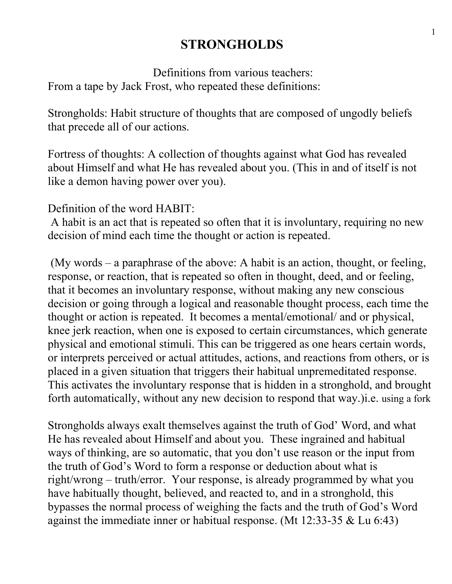# **STRONGHOLDS**

 Definitions from various teachers: From a tape by Jack Frost, who repeated these definitions:

Strongholds: Habit structure of thoughts that are composed of ungodly beliefs that precede all of our actions.

Fortress of thoughts: A collection of thoughts against what God has revealed about Himself and what He has revealed about you. (This in and of itself is not like a demon having power over you).

Definition of the word HABIT:

 A habit is an act that is repeated so often that it is involuntary, requiring no new decision of mind each time the thought or action is repeated.

 (My words – a paraphrase of the above: A habit is an action, thought, or feeling, response, or reaction, that is repeated so often in thought, deed, and or feeling, that it becomes an involuntary response, without making any new conscious decision or going through a logical and reasonable thought process, each time the thought or action is repeated. It becomes a mental/emotional/ and or physical, knee jerk reaction, when one is exposed to certain circumstances, which generate physical and emotional stimuli. This can be triggered as one hears certain words, or interprets perceived or actual attitudes, actions, and reactions from others, or is placed in a given situation that triggers their habitual unpremeditated response. This activates the involuntary response that is hidden in a stronghold, and brought forth automatically, without any new decision to respond that way.)i.e. using a fork

Strongholds always exalt themselves against the truth of God' Word, and what He has revealed about Himself and about you. These ingrained and habitual ways of thinking, are so automatic, that you don't use reason or the input from the truth of God's Word to form a response or deduction about what is right/wrong – truth/error. Your response, is already programmed by what you have habitually thought, believed, and reacted to, and in a stronghold, this bypasses the normal process of weighing the facts and the truth of God's Word against the immediate inner or habitual response. (Mt 12:33-35 & Lu 6:43)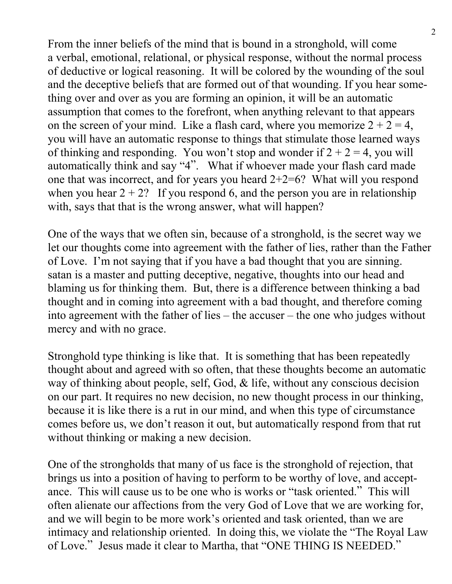From the inner beliefs of the mind that is bound in a stronghold, will come a verbal, emotional, relational, or physical response, without the normal process of deductive or logical reasoning. It will be colored by the wounding of the soul and the deceptive beliefs that are formed out of that wounding. If you hear something over and over as you are forming an opinion, it will be an automatic assumption that comes to the forefront, when anything relevant to that appears on the screen of your mind. Like a flash card, where you memorize  $2 + 2 = 4$ , you will have an automatic response to things that stimulate those learned ways of thinking and responding. You won't stop and wonder if  $2 + 2 = 4$ , you will automatically think and say "4". What if whoever made your flash card made one that was incorrect, and for years you heard  $2+2=6$ ? What will you respond when you hear  $2 + 2$ ? If you respond 6, and the person you are in relationship with, says that that is the wrong answer, what will happen?

One of the ways that we often sin, because of a stronghold, is the secret way we let our thoughts come into agreement with the father of lies, rather than the Father of Love. I'm not saying that if you have a bad thought that you are sinning. satan is a master and putting deceptive, negative, thoughts into our head and blaming us for thinking them. But, there is a difference between thinking a bad thought and in coming into agreement with a bad thought, and therefore coming into agreement with the father of lies – the accuser – the one who judges without mercy and with no grace.

Stronghold type thinking is like that. It is something that has been repeatedly thought about and agreed with so often, that these thoughts become an automatic way of thinking about people, self, God, & life, without any conscious decision on our part. It requires no new decision, no new thought process in our thinking, because it is like there is a rut in our mind, and when this type of circumstance comes before us, we don't reason it out, but automatically respond from that rut without thinking or making a new decision.

One of the strongholds that many of us face is the stronghold of rejection, that brings us into a position of having to perform to be worthy of love, and acceptance. This will cause us to be one who is works or "task oriented." This will often alienate our affections from the very God of Love that we are working for, and we will begin to be more work's oriented and task oriented, than we are intimacy and relationship oriented. In doing this, we violate the "The Royal Law of Love." Jesus made it clear to Martha, that "ONE THING IS NEEDED."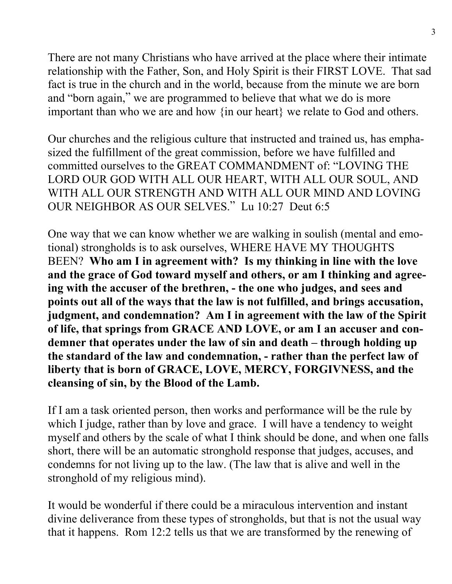There are not many Christians who have arrived at the place where their intimate relationship with the Father, Son, and Holy Spirit is their FIRST LOVE. That sad fact is true in the church and in the world, because from the minute we are born and "born again," we are programmed to believe that what we do is more important than who we are and how {in our heart} we relate to God and others.

Our churches and the religious culture that instructed and trained us, has emphasized the fulfillment of the great commission, before we have fulfilled and committed ourselves to the GREAT COMMANDMENT of: "LOVING THE LORD OUR GOD WITH ALL OUR HEART, WITH ALL OUR SOUL, AND WITH ALL OUR STRENGTH AND WITH ALL OUR MIND AND LOVING OUR NEIGHBOR AS OUR SELVES." Lu 10:27 Deut 6:5

One way that we can know whether we are walking in soulish (mental and emotional) strongholds is to ask ourselves, WHERE HAVE MY THOUGHTS BEEN? **Who am I in agreement with? Is my thinking in line with the love and the grace of God toward myself and others, or am I thinking and agreeing with the accuser of the brethren, - the one who judges, and sees and points out all of the ways that the law is not fulfilled, and brings accusation, judgment, and condemnation? Am I in agreement with the law of the Spirit of life, that springs from GRACE AND LOVE, or am I an accuser and condemner that operates under the law of sin and death – through holding up the standard of the law and condemnation, - rather than the perfect law of liberty that is born of GRACE, LOVE, MERCY, FORGIVNESS, and the cleansing of sin, by the Blood of the Lamb.**

If I am a task oriented person, then works and performance will be the rule by which I judge, rather than by love and grace. I will have a tendency to weight myself and others by the scale of what I think should be done, and when one falls short, there will be an automatic stronghold response that judges, accuses, and condemns for not living up to the law. (The law that is alive and well in the stronghold of my religious mind).

It would be wonderful if there could be a miraculous intervention and instant divine deliverance from these types of strongholds, but that is not the usual way that it happens. Rom 12:2 tells us that we are transformed by the renewing of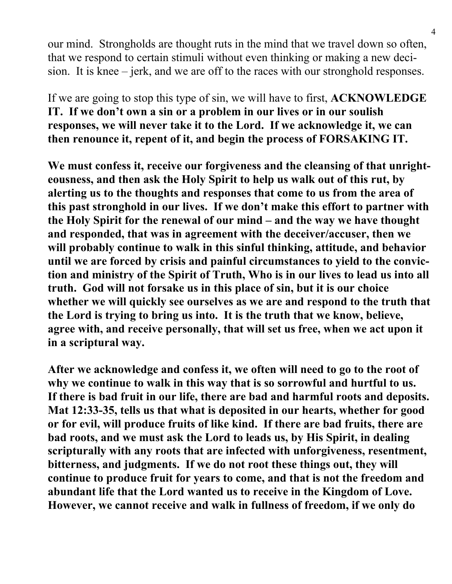our mind. Strongholds are thought ruts in the mind that we travel down so often, that we respond to certain stimuli without even thinking or making a new decision. It is knee – jerk, and we are off to the races with our stronghold responses.

If we are going to stop this type of sin, we will have to first, **ACKNOWLEDGE IT. If we don't own a sin or a problem in our lives or in our soulish responses, we will never take it to the Lord. If we acknowledge it, we can then renounce it, repent of it, and begin the process of FORSAKING IT.**

**We must confess it, receive our forgiveness and the cleansing of that unrighteousness, and then ask the Holy Spirit to help us walk out of this rut, by alerting us to the thoughts and responses that come to us from the area of this past stronghold in our lives. If we don't make this effort to partner with the Holy Spirit for the renewal of our mind – and the way we have thought and responded, that was in agreement with the deceiver/accuser, then we will probably continue to walk in this sinful thinking, attitude, and behavior until we are forced by crisis and painful circumstances to yield to the conviction and ministry of the Spirit of Truth, Who is in our lives to lead us into all truth. God will not forsake us in this place of sin, but it is our choice whether we will quickly see ourselves as we are and respond to the truth that the Lord is trying to bring us into. It is the truth that we know, believe, agree with, and receive personally, that will set us free, when we act upon it in a scriptural way.**

**After we acknowledge and confess it, we often will need to go to the root of why we continue to walk in this way that is so sorrowful and hurtful to us. If there is bad fruit in our life, there are bad and harmful roots and deposits. Mat 12:33-35, tells us that what is deposited in our hearts, whether for good or for evil, will produce fruits of like kind. If there are bad fruits, there are bad roots, and we must ask the Lord to leads us, by His Spirit, in dealing scripturally with any roots that are infected with unforgiveness, resentment, bitterness, and judgments. If we do not root these things out, they will continue to produce fruit for years to come, and that is not the freedom and abundant life that the Lord wanted us to receive in the Kingdom of Love. However, we cannot receive and walk in fullness of freedom, if we only do**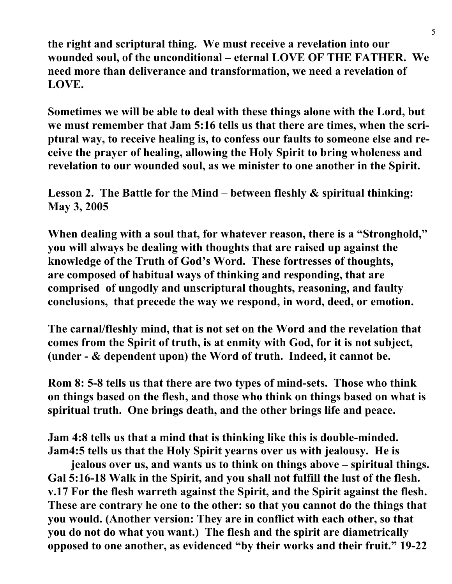**the right and scriptural thing. We must receive a revelation into our wounded soul, of the unconditional – eternal LOVE OF THE FATHER. We need more than deliverance and transformation, we need a revelation of LOVE.**

**Sometimes we will be able to deal with these things alone with the Lord, but we must remember that Jam 5:16 tells us that there are times, when the scriptural way, to receive healing is, to confess our faults to someone else and receive the prayer of healing, allowing the Holy Spirit to bring wholeness and revelation to our wounded soul, as we minister to one another in the Spirit.**

**Lesson 2. The Battle for the Mind – between fleshly & spiritual thinking: May 3, 2005**

**When dealing with a soul that, for whatever reason, there is a "Stronghold," you will always be dealing with thoughts that are raised up against the knowledge of the Truth of God's Word. These fortresses of thoughts, are composed of habitual ways of thinking and responding, that are comprised of ungodly and unscriptural thoughts, reasoning, and faulty conclusions, that precede the way we respond, in word, deed, or emotion.**

**The carnal/fleshly mind, that is not set on the Word and the revelation that comes from the Spirit of truth, is at enmity with God, for it is not subject, (under - & dependent upon) the Word of truth. Indeed, it cannot be.**

**Rom 8: 5-8 tells us that there are two types of mind-sets. Those who think on things based on the flesh, and those who think on things based on what is spiritual truth. One brings death, and the other brings life and peace.**

**Jam 4:8 tells us that a mind that is thinking like this is double-minded. Jam4:5 tells us that the Holy Spirit yearns over us with jealousy. He is**

 **jealous over us, and wants us to think on things above – spiritual things. Gal 5:16-18 Walk in the Spirit, and you shall not fulfill the lust of the flesh. v.17 For the flesh warreth against the Spirit, and the Spirit against the flesh. These are contrary he one to the other: so that you cannot do the things that you would. (Another version: They are in conflict with each other, so that you do not do what you want.) The flesh and the spirit are diametrically opposed to one another, as evidenced "by their works and their fruit." 19-22**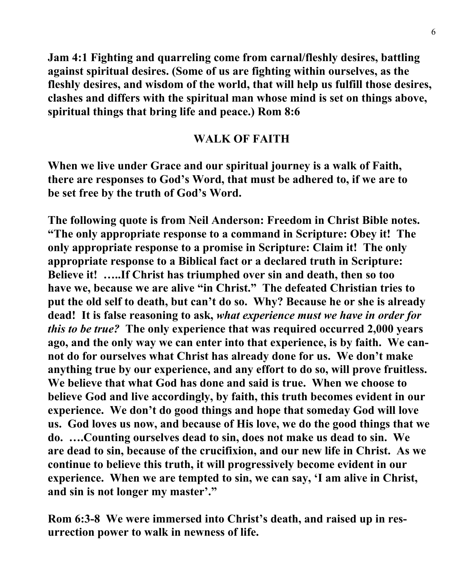**Jam 4:1 Fighting and quarreling come from carnal/fleshly desires, battling against spiritual desires. (Some of us are fighting within ourselves, as the fleshly desires, and wisdom of the world, that will help us fulfill those desires, clashes and differs with the spiritual man whose mind is set on things above, spiritual things that bring life and peace.) Rom 8:6**

#### **WALK OF FAITH**

**When we live under Grace and our spiritual journey is a walk of Faith, there are responses to God's Word, that must be adhered to, if we are to be set free by the truth of God's Word.**

**The following quote is from Neil Anderson: Freedom in Christ Bible notes. "The only appropriate response to a command in Scripture: Obey it! The only appropriate response to a promise in Scripture: Claim it! The only appropriate response to a Biblical fact or a declared truth in Scripture: Believe it! …..If Christ has triumphed over sin and death, then so too have we, because we are alive "in Christ." The defeated Christian tries to put the old self to death, but can't do so. Why? Because he or she is already dead! It is false reasoning to ask,** *what experience must we have in order for this to be true?* **The only experience that was required occurred 2,000 years ago, and the only way we can enter into that experience, is by faith. We cannot do for ourselves what Christ has already done for us. We don't make anything true by our experience, and any effort to do so, will prove fruitless. We believe that what God has done and said is true. When we choose to believe God and live accordingly, by faith, this truth becomes evident in our experience. We don't do good things and hope that someday God will love us. God loves us now, and because of His love, we do the good things that we do. ….Counting ourselves dead to sin, does not make us dead to sin. We are dead to sin, because of the crucifixion, and our new life in Christ. As we continue to believe this truth, it will progressively become evident in our experience. When we are tempted to sin, we can say, 'I am alive in Christ, and sin is not longer my master'."**

**Rom 6:3-8 We were immersed into Christ's death, and raised up in resurrection power to walk in newness of life.**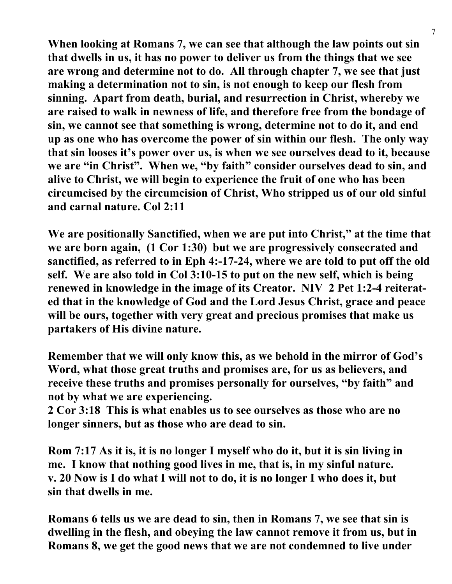**When looking at Romans 7, we can see that although the law points out sin that dwells in us, it has no power to deliver us from the things that we see are wrong and determine not to do. All through chapter 7, we see that just making a determination not to sin, is not enough to keep our flesh from sinning. Apart from death, burial, and resurrection in Christ, whereby we are raised to walk in newness of life, and therefore free from the bondage of sin, we cannot see that something is wrong, determine not to do it, and end up as one who has overcome the power of sin within our flesh. The only way that sin looses it's power over us, is when we see ourselves dead to it, because we are "in Christ". When we, "by faith" consider ourselves dead to sin, and alive to Christ, we will begin to experience the fruit of one who has been circumcised by the circumcision of Christ, Who stripped us of our old sinful and carnal nature. Col 2:11**

**We are positionally Sanctified, when we are put into Christ," at the time that we are born again, (1 Cor 1:30) but we are progressively consecrated and sanctified, as referred to in Eph 4:-17-24, where we are told to put off the old self. We are also told in Col 3:10-15 to put on the new self, which is being renewed in knowledge in the image of its Creator. NIV 2 Pet 1:2-4 reiterated that in the knowledge of God and the Lord Jesus Christ, grace and peace will be ours, together with very great and precious promises that make us partakers of His divine nature.**

**Remember that we will only know this, as we behold in the mirror of God's Word, what those great truths and promises are, for us as believers, and receive these truths and promises personally for ourselves, "by faith" and not by what we are experiencing.**

**2 Cor 3:18 This is what enables us to see ourselves as those who are no longer sinners, but as those who are dead to sin.**

**Rom 7:17 As it is, it is no longer I myself who do it, but it is sin living in me. I know that nothing good lives in me, that is, in my sinful nature. v. 20 Now is I do what I will not to do, it is no longer I who does it, but sin that dwells in me.**

**Romans 6 tells us we are dead to sin, then in Romans 7, we see that sin is dwelling in the flesh, and obeying the law cannot remove it from us, but in Romans 8, we get the good news that we are not condemned to live under**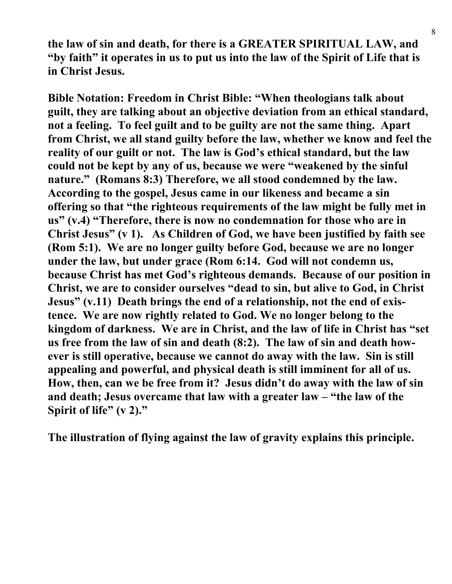**the law of sin and death, for there is a GREATER SPIRITUAL LAW, and "by faith" it operates in us to put us into the law of the Spirit of Life that is in Christ Jesus.**

**Bible Notation: Freedom in Christ Bible: "When theologians talk about guilt, they are talking about an objective deviation from an ethical standard, not a feeling. To feel guilt and to be guilty are not the same thing. Apart from Christ, we all stand guilty before the law, whether we know and feel the reality of our guilt or not. The law is God's ethical standard, but the law could not be kept by any of us, because we were "weakened by the sinful nature." (Romans 8:3) Therefore, we all stood condemned by the law. According to the gospel, Jesus came in our likeness and became a sin offering so that "the righteous requirements of the law might be fully met in us" (v.4) "Therefore, there is now no condemnation for those who are in Christ Jesus" (v 1). As Children of God, we have been justified by faith see (Rom 5:1). We are no longer guilty before God, because we are no longer under the law, but under grace (Rom 6:14. God will not condemn us, because Christ has met God's righteous demands. Because of our position in Christ, we are to consider ourselves "dead to sin, but alive to God, in Christ Jesus" (v.11) Death brings the end of a relationship, not the end of existence. We are now rightly related to God. We no longer belong to the kingdom of darkness. We are in Christ, and the law of life in Christ has "set us free from the law of sin and death (8:2). The law of sin and death however is still operative, because we cannot do away with the law. Sin is still appealing and powerful, and physical death is still imminent for all of us. How, then, can we be free from it? Jesus didn't do away with the law of sin and death; Jesus overcame that law with a greater law – "the law of the Spirit of life" (v 2)."**

**The illustration of flying against the law of gravity explains this principle.**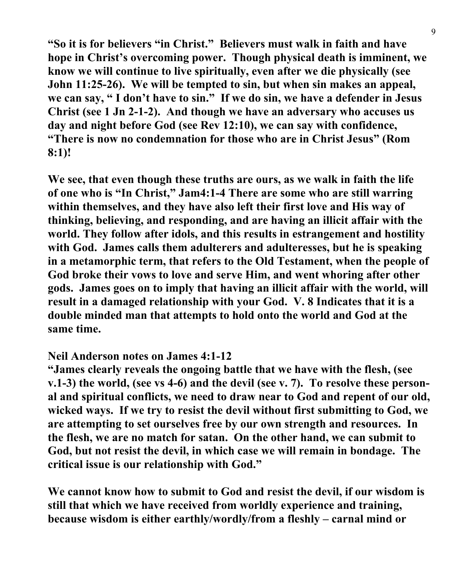**"So it is for believers "in Christ." Believers must walk in faith and have hope in Christ's overcoming power. Though physical death is imminent, we know we will continue to live spiritually, even after we die physically (see John 11:25-26). We will be tempted to sin, but when sin makes an appeal, we can say, " I don't have to sin." If we do sin, we have a defender in Jesus Christ (see 1 Jn 2-1-2). And though we have an adversary who accuses us day and night before God (see Rev 12:10), we can say with confidence, "There is now no condemnation for those who are in Christ Jesus" (Rom 8:1)!**

**We see, that even though these truths are ours, as we walk in faith the life of one who is "In Christ," Jam4:1-4 There are some who are still warring within themselves, and they have also left their first love and His way of thinking, believing, and responding, and are having an illicit affair with the world. They follow after idols, and this results in estrangement and hostility with God. James calls them adulterers and adulteresses, but he is speaking in a metamorphic term, that refers to the Old Testament, when the people of God broke their vows to love and serve Him, and went whoring after other gods. James goes on to imply that having an illicit affair with the world, will result in a damaged relationship with your God. V. 8 Indicates that it is a double minded man that attempts to hold onto the world and God at the same time.**

#### **Neil Anderson notes on James 4:1-12**

**"James clearly reveals the ongoing battle that we have with the flesh, (see v.1-3) the world, (see vs 4-6) and the devil (see v. 7). To resolve these personal and spiritual conflicts, we need to draw near to God and repent of our old, wicked ways. If we try to resist the devil without first submitting to God, we are attempting to set ourselves free by our own strength and resources. In the flesh, we are no match for satan. On the other hand, we can submit to God, but not resist the devil, in which case we will remain in bondage. The critical issue is our relationship with God."**

**We cannot know how to submit to God and resist the devil, if our wisdom is still that which we have received from worldly experience and training, because wisdom is either earthly/wordly/from a fleshly – carnal mind or**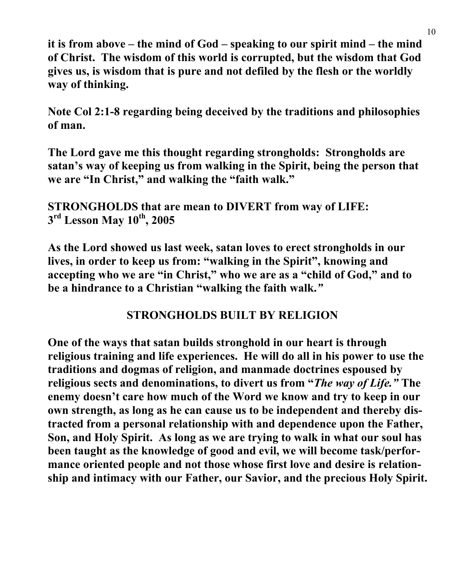**it is from above – the mind of God – speaking to our spirit mind – the mind of Christ. The wisdom of this world is corrupted, but the wisdom that God gives us, is wisdom that is pure and not defiled by the flesh or the worldly way of thinking.**

**Note Col 2:1-8 regarding being deceived by the traditions and philosophies of man.**

**The Lord gave me this thought regarding strongholds: Strongholds are satan's way of keeping us from walking in the Spirit, being the person that we are "In Christ," and walking the "faith walk."**

**STRONGHOLDS that are mean to DIVERT from way of LIFE: 3rd Lesson May 10th, 2005**

**As the Lord showed us last week, satan loves to erect strongholds in our lives, in order to keep us from: "walking in the Spirit", knowing and accepting who we are "in Christ," who we are as a "child of God," and to be a hindrance to a Christian "walking the faith walk.***"*

## **STRONGHOLDS BUILT BY RELIGION**

**One of the ways that satan builds stronghold in our heart is through religious training and life experiences. He will do all in his power to use the traditions and dogmas of religion, and manmade doctrines espoused by religious sects and denominations, to divert us from "***The way of Life."* **The enemy doesn't care how much of the Word we know and try to keep in our own strength, as long as he can cause us to be independent and thereby distracted from a personal relationship with and dependence upon the Father, Son, and Holy Spirit. As long as we are trying to walk in what our soul has been taught as the knowledge of good and evil, we will become task/performance oriented people and not those whose first love and desire is relationship and intimacy with our Father, our Savior, and the precious Holy Spirit.**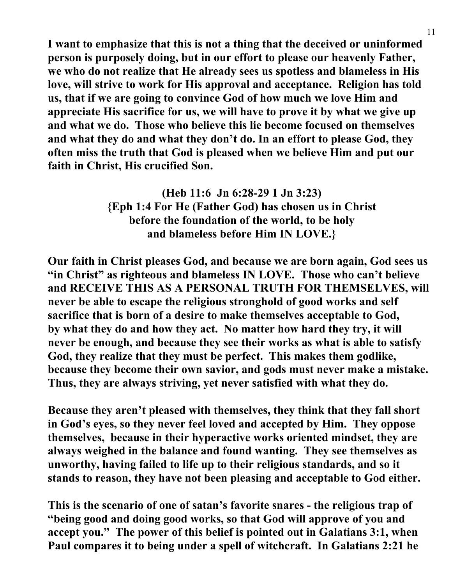**I want to emphasize that this is not a thing that the deceived or uninformed person is purposely doing, but in our effort to please our heavenly Father, we who do not realize that He already sees us spotless and blameless in His love, will strive to work for His approval and acceptance. Religion has told us, that if we are going to convince God of how much we love Him and appreciate His sacrifice for us, we will have to prove it by what we give up and what we do. Those who believe this lie become focused on themselves and what they do and what they don't do. In an effort to please God, they often miss the truth that God is pleased when we believe Him and put our faith in Christ, His crucified Son.**

> **(Heb 11:6 Jn 6:28-29 1 Jn 3:23) {Eph 1:4 For He (Father God) has chosen us in Christ before the foundation of the world, to be holy and blameless before Him IN LOVE.}**

**Our faith in Christ pleases God, and because we are born again, God sees us "in Christ" as righteous and blameless IN LOVE. Those who can't believe and RECEIVE THIS AS A PERSONAL TRUTH FOR THEMSELVES, will never be able to escape the religious stronghold of good works and self sacrifice that is born of a desire to make themselves acceptable to God, by what they do and how they act. No matter how hard they try, it will never be enough, and because they see their works as what is able to satisfy God, they realize that they must be perfect. This makes them godlike, because they become their own savior, and gods must never make a mistake. Thus, they are always striving, yet never satisfied with what they do.**

**Because they aren't pleased with themselves, they think that they fall short in God's eyes, so they never feel loved and accepted by Him. They oppose themselves, because in their hyperactive works oriented mindset, they are always weighed in the balance and found wanting. They see themselves as unworthy, having failed to life up to their religious standards, and so it stands to reason, they have not been pleasing and acceptable to God either.**

**This is the scenario of one of satan's favorite snares - the religious trap of "being good and doing good works, so that God will approve of you and accept you." The power of this belief is pointed out in Galatians 3:1, when Paul compares it to being under a spell of witchcraft. In Galatians 2:21 he**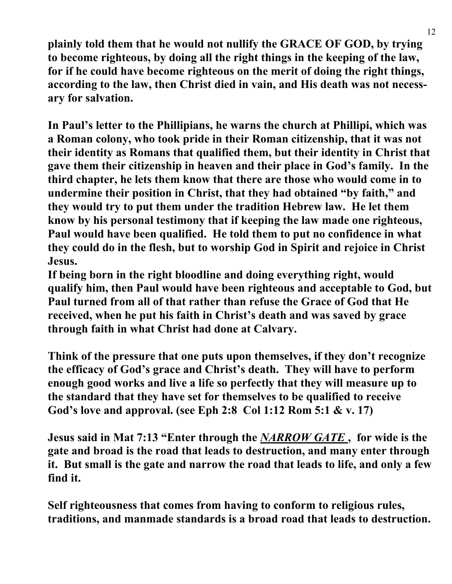**plainly told them that he would not nullify the GRACE OF GOD, by trying to become righteous, by doing all the right things in the keeping of the law, for if he could have become righteous on the merit of doing the right things, according to the law, then Christ died in vain, and His death was not necessary for salvation.**

**In Paul's letter to the Phillipians, he warns the church at Phillipi, which was a Roman colony, who took pride in their Roman citizenship, that it was not their identity as Romans that qualified them, but their identity in Christ that gave them their citizenship in heaven and their place in God's family. In the third chapter, he lets them know that there are those who would come in to undermine their position in Christ, that they had obtained "by faith," and they would try to put them under the tradition Hebrew law. He let them know by his personal testimony that if keeping the law made one righteous, Paul would have been qualified. He told them to put no confidence in what they could do in the flesh, but to worship God in Spirit and rejoice in Christ Jesus.**

**If being born in the right bloodline and doing everything right, would qualify him, then Paul would have been righteous and acceptable to God, but Paul turned from all of that rather than refuse the Grace of God that He received, when he put his faith in Christ's death and was saved by grace through faith in what Christ had done at Calvary.**

**Think of the pressure that one puts upon themselves, if they don't recognize the efficacy of God's grace and Christ's death. They will have to perform enough good works and live a life so perfectly that they will measure up to the standard that they have set for themselves to be qualified to receive God's love and approval. (see Eph 2:8 Col 1:12 Rom 5:1 & v. 17)**

**Jesus said in Mat 7:13 "Enter through the** *NARROW GATE* **, for wide is the gate and broad is the road that leads to destruction, and many enter through it. But small is the gate and narrow the road that leads to life, and only a few find it.**

**Self righteousness that comes from having to conform to religious rules, traditions, and manmade standards is a broad road that leads to destruction.**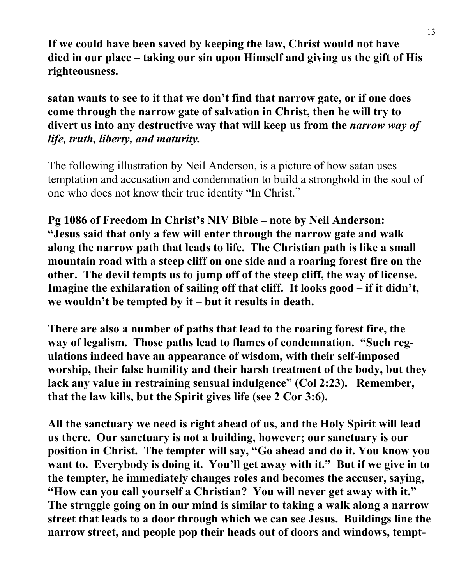**If we could have been saved by keeping the law, Christ would not have died in our place – taking our sin upon Himself and giving us the gift of His righteousness.**

**satan wants to see to it that we don't find that narrow gate, or if one does come through the narrow gate of salvation in Christ, then he will try to divert us into any destructive way that will keep us from the** *narrow way of life, truth, liberty, and maturity.*

The following illustration by Neil Anderson, is a picture of how satan uses temptation and accusation and condemnation to build a stronghold in the soul of one who does not know their true identity "In Christ."

**Pg 1086 of Freedom In Christ's NIV Bible – note by Neil Anderson: "Jesus said that only a few will enter through the narrow gate and walk along the narrow path that leads to life. The Christian path is like a small mountain road with a steep cliff on one side and a roaring forest fire on the other. The devil tempts us to jump off of the steep cliff, the way of license. Imagine the exhilaration of sailing off that cliff. It looks good – if it didn't, we wouldn't be tempted by it – but it results in death.**

**There are also a number of paths that lead to the roaring forest fire, the way of legalism. Those paths lead to flames of condemnation. "Such regulations indeed have an appearance of wisdom, with their self-imposed worship, their false humility and their harsh treatment of the body, but they lack any value in restraining sensual indulgence" (Col 2:23). Remember, that the law kills, but the Spirit gives life (see 2 Cor 3:6).**

**All the sanctuary we need is right ahead of us, and the Holy Spirit will lead us there. Our sanctuary is not a building, however; our sanctuary is our position in Christ. The tempter will say, "Go ahead and do it. You know you want to. Everybody is doing it. You'll get away with it." But if we give in to the tempter, he immediately changes roles and becomes the accuser, saying, "How can you call yourself a Christian? You will never get away with it." The struggle going on in our mind is similar to taking a walk along a narrow street that leads to a door through which we can see Jesus. Buildings line the narrow street, and people pop their heads out of doors and windows, tempt-**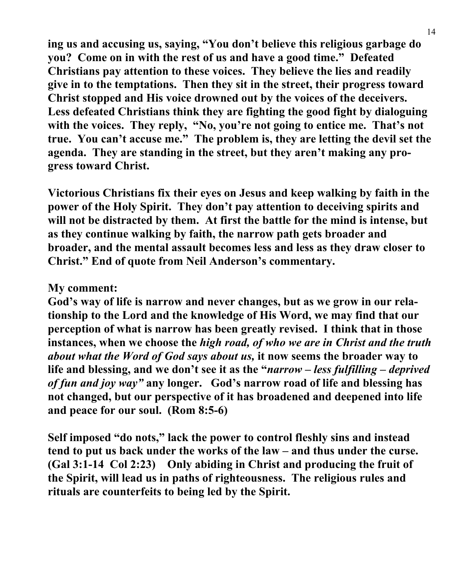**ing us and accusing us, saying, "You don't believe this religious garbage do you? Come on in with the rest of us and have a good time." Defeated Christians pay attention to these voices. They believe the lies and readily give in to the temptations. Then they sit in the street, their progress toward Christ stopped and His voice drowned out by the voices of the deceivers. Less defeated Christians think they are fighting the good fight by dialoguing with the voices. They reply, "No, you're not going to entice me. That's not true. You can't accuse me." The problem is, they are letting the devil set the agenda. They are standing in the street, but they aren't making any progress toward Christ.**

**Victorious Christians fix their eyes on Jesus and keep walking by faith in the power of the Holy Spirit. They don't pay attention to deceiving spirits and will not be distracted by them. At first the battle for the mind is intense, but as they continue walking by faith, the narrow path gets broader and broader, and the mental assault becomes less and less as they draw closer to Christ." End of quote from Neil Anderson's commentary.**

#### **My comment:**

**God's way of life is narrow and never changes, but as we grow in our relationship to the Lord and the knowledge of His Word, we may find that our perception of what is narrow has been greatly revised. I think that in those instances, when we choose the** *high road, of who we are in Christ and the truth about what the Word of God says about us,* **it now seems the broader way to life and blessing, and we don't see it as the "***narrow – less fulfilling – deprived of fun and joy way"* **any longer. God's narrow road of life and blessing has not changed, but our perspective of it has broadened and deepened into life and peace for our soul. (Rom 8:5-6)**

**Self imposed "do nots," lack the power to control fleshly sins and instead tend to put us back under the works of the law – and thus under the curse. (Gal 3:1-14 Col 2:23) Only abiding in Christ and producing the fruit of the Spirit, will lead us in paths of righteousness. The religious rules and rituals are counterfeits to being led by the Spirit.**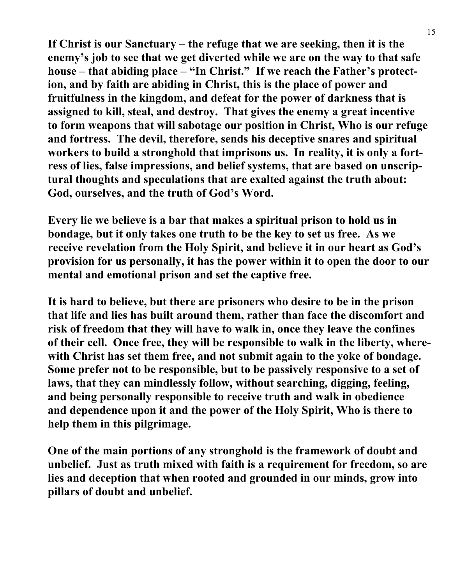**If Christ is our Sanctuary – the refuge that we are seeking, then it is the enemy's job to see that we get diverted while we are on the way to that safe house – that abiding place – "In Christ." If we reach the Father's protection, and by faith are abiding in Christ, this is the place of power and fruitfulness in the kingdom, and defeat for the power of darkness that is assigned to kill, steal, and destroy. That gives the enemy a great incentive to form weapons that will sabotage our position in Christ, Who is our refuge and fortress. The devil, therefore, sends his deceptive snares and spiritual workers to build a stronghold that imprisons us. In reality, it is only a fortress of lies, false impressions, and belief systems, that are based on unscriptural thoughts and speculations that are exalted against the truth about: God, ourselves, and the truth of God's Word.**

**Every lie we believe is a bar that makes a spiritual prison to hold us in bondage, but it only takes one truth to be the key to set us free. As we receive revelation from the Holy Spirit, and believe it in our heart as God's provision for us personally, it has the power within it to open the door to our mental and emotional prison and set the captive free.**

**It is hard to believe, but there are prisoners who desire to be in the prison that life and lies has built around them, rather than face the discomfort and risk of freedom that they will have to walk in, once they leave the confines of their cell. Once free, they will be responsible to walk in the liberty, wherewith Christ has set them free, and not submit again to the yoke of bondage. Some prefer not to be responsible, but to be passively responsive to a set of laws, that they can mindlessly follow, without searching, digging, feeling, and being personally responsible to receive truth and walk in obedience and dependence upon it and the power of the Holy Spirit, Who is there to help them in this pilgrimage.**

**One of the main portions of any stronghold is the framework of doubt and unbelief. Just as truth mixed with faith is a requirement for freedom, so are lies and deception that when rooted and grounded in our minds, grow into pillars of doubt and unbelief.**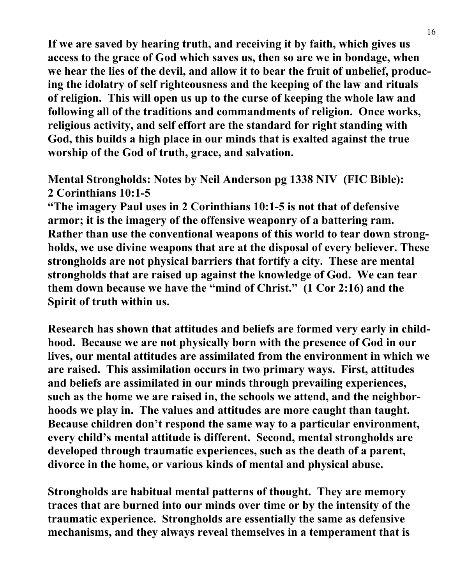**If we are saved by hearing truth, and receiving it by faith, which gives us access to the grace of God which saves us, then so are we in bondage, when we hear the lies of the devil, and allow it to bear the fruit of unbelief, producing the idolatry of self righteousness and the keeping of the law and rituals of religion. This will open us up to the curse of keeping the whole law and following all of the traditions and commandments of religion. Once works, religious activity, and self effort are the standard for right standing with God, this builds a high place in our minds that is exalted against the true worship of the God of truth, grace, and salvation.**

## **Mental Strongholds: Notes by Neil Anderson pg 1338 NIV (FIC Bible): 2 Corinthians 10:1-5**

**"The imagery Paul uses in 2 Corinthians 10:1-5 is not that of defensive armor; it is the imagery of the offensive weaponry of a battering ram. Rather than use the conventional weapons of this world to tear down strongholds, we use divine weapons that are at the disposal of every believer. These strongholds are not physical barriers that fortify a city. These are mental strongholds that are raised up against the knowledge of God. We can tear them down because we have the "mind of Christ." (1 Cor 2:16) and the Spirit of truth within us.**

**Research has shown that attitudes and beliefs are formed very early in childhood. Because we are not physically born with the presence of God in our lives, our mental attitudes are assimilated from the environment in which we are raised. This assimilation occurs in two primary ways. First, attitudes and beliefs are assimilated in our minds through prevailing experiences, such as the home we are raised in, the schools we attend, and the neighborhoods we play in. The values and attitudes are more caught than taught. Because children don't respond the same way to a particular environment, every child's mental attitude is different. Second, mental strongholds are developed through traumatic experiences, such as the death of a parent, divorce in the home, or various kinds of mental and physical abuse.**

**Strongholds are habitual mental patterns of thought. They are memory traces that are burned into our minds over time or by the intensity of the traumatic experience. Strongholds are essentially the same as defensive mechanisms, and they always reveal themselves in a temperament that is**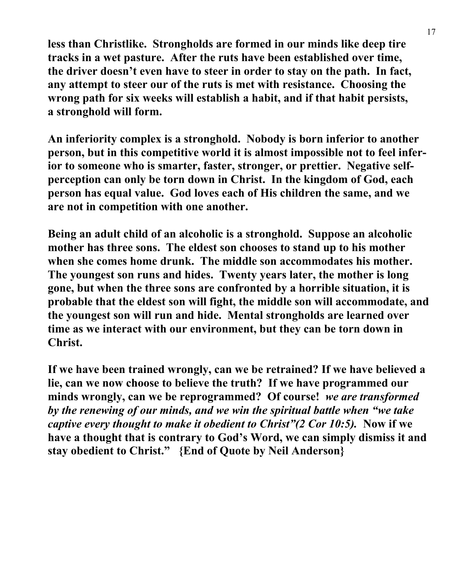**less than Christlike. Strongholds are formed in our minds like deep tire tracks in a wet pasture. After the ruts have been established over time, the driver doesn't even have to steer in order to stay on the path. In fact, any attempt to steer our of the ruts is met with resistance. Choosing the wrong path for six weeks will establish a habit, and if that habit persists, a stronghold will form.**

**An inferiority complex is a stronghold. Nobody is born inferior to another person, but in this competitive world it is almost impossible not to feel inferior to someone who is smarter, faster, stronger, or prettier. Negative selfperception can only be torn down in Christ. In the kingdom of God, each person has equal value. God loves each of His children the same, and we are not in competition with one another.**

**Being an adult child of an alcoholic is a stronghold. Suppose an alcoholic mother has three sons. The eldest son chooses to stand up to his mother when she comes home drunk. The middle son accommodates his mother. The youngest son runs and hides. Twenty years later, the mother is long gone, but when the three sons are confronted by a horrible situation, it is probable that the eldest son will fight, the middle son will accommodate, and the youngest son will run and hide. Mental strongholds are learned over time as we interact with our environment, but they can be torn down in Christ.**

**If we have been trained wrongly, can we be retrained? If we have believed a lie, can we now choose to believe the truth? If we have programmed our minds wrongly, can we be reprogrammed? Of course!** *we are transformed by the renewing of our minds, and we win the spiritual battle when "we take captive every thought to make it obedient to Christ"(2 Cor 10:5).* **Now if we have a thought that is contrary to God's Word, we can simply dismiss it and stay obedient to Christ." {End of Quote by Neil Anderson}**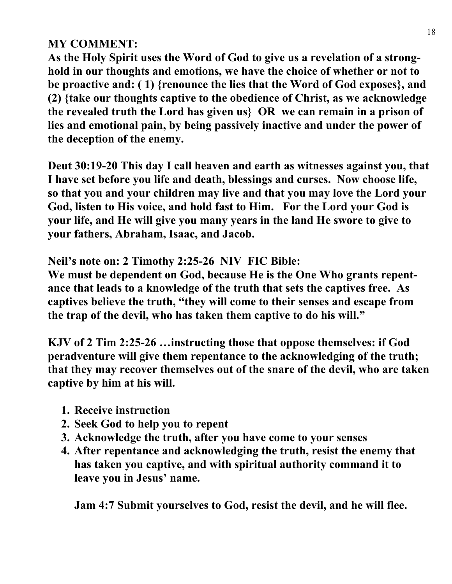# **MY COMMENT:**

**As the Holy Spirit uses the Word of God to give us a revelation of a stronghold in our thoughts and emotions, we have the choice of whether or not to be proactive and: ( 1) {renounce the lies that the Word of God exposes}, and (2) {take our thoughts captive to the obedience of Christ, as we acknowledge the revealed truth the Lord has given us} OR we can remain in a prison of lies and emotional pain, by being passively inactive and under the power of the deception of the enemy.**

**Deut 30:19-20 This day I call heaven and earth as witnesses against you, that I have set before you life and death, blessings and curses. Now choose life, so that you and your children may live and that you may love the Lord your God, listen to His voice, and hold fast to Him. For the Lord your God is your life, and He will give you many years in the land He swore to give to your fathers, Abraham, Isaac, and Jacob.**

**Neil's note on: 2 Timothy 2:25-26 NIV FIC Bible:**

**We must be dependent on God, because He is the One Who grants repentance that leads to a knowledge of the truth that sets the captives free. As captives believe the truth, "they will come to their senses and escape from the trap of the devil, who has taken them captive to do his will."**

**KJV of 2 Tim 2:25-26 …instructing those that oppose themselves: if God peradventure will give them repentance to the acknowledging of the truth; that they may recover themselves out of the snare of the devil, who are taken captive by him at his will.**

- **1. Receive instruction**
- **2. Seek God to help you to repent**
- **3. Acknowledge the truth, after you have come to your senses**
- **4. After repentance and acknowledging the truth, resist the enemy that has taken you captive, and with spiritual authority command it to leave you in Jesus' name.**

**Jam 4:7 Submit yourselves to God, resist the devil, and he will flee.**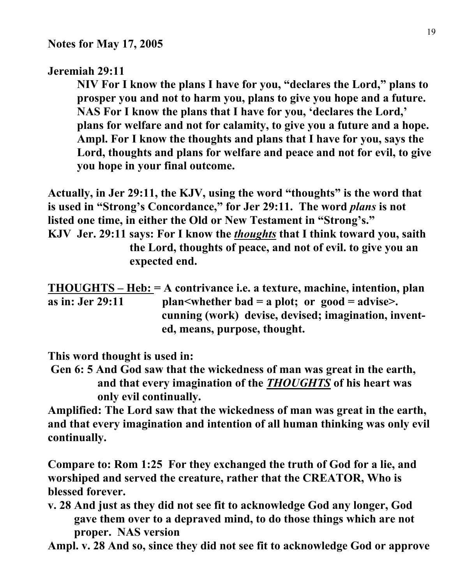#### **Jeremiah 29:11**

 **NIV For I know the plans I have for you, "declares the Lord," plans to prosper you and not to harm you, plans to give you hope and a future. NAS For I know the plans that I have for you, 'declares the Lord,' plans for welfare and not for calamity, to give you a future and a hope. Ampl. For I know the thoughts and plans that I have for you, says the Lord, thoughts and plans for welfare and peace and not for evil, to give you hope in your final outcome.**

**Actually, in Jer 29:11, the KJV, using the word "thoughts" is the word that is used in "Strong's Concordance," for Jer 29:11. The word** *plans* **is not listed one time, in either the Old or New Testament in "Strong's." KJV Jer. 29:11 says: For I know the** *thoughts* **that I think toward you, saith**

 **the Lord, thoughts of peace, and not of evil. to give you an expected end.**

**THOUGHTS – Heb: = A contrivance i.e. a texture, machine, intention, plan as in: Jer 29:11 plan<whether bad = a plot; or good = advise>. cunning (work) devise, devised; imagination, invent ed, means, purpose, thought.**

**This word thought is used in:**

 **Gen 6: 5 And God saw that the wickedness of man was great in the earth, and that every imagination of the** *THOUGHTS* **of his heart was only evil continually.**

**Amplified: The Lord saw that the wickedness of man was great in the earth, and that every imagination and intention of all human thinking was only evil continually.**

**Compare to: Rom 1:25 For they exchanged the truth of God for a lie, and worshiped and served the creature, rather that the CREATOR, Who is blessed forever.**

**v. 28 And just as they did not see fit to acknowledge God any longer, God gave them over to a depraved mind, to do those things which are not proper. NAS version**

**Ampl. v. 28 And so, since they did not see fit to acknowledge God or approve**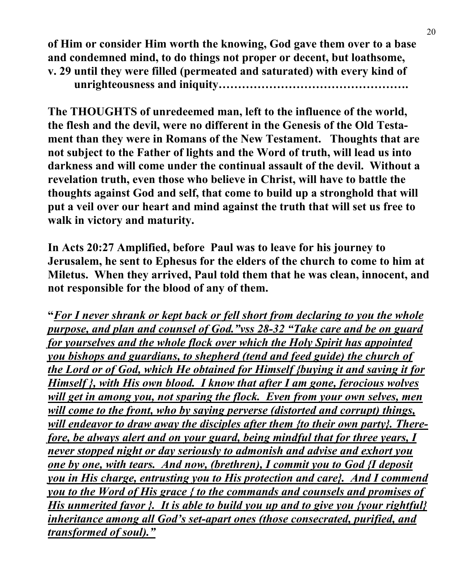**of Him or consider Him worth the knowing, God gave them over to a base and condemned mind, to do things not proper or decent, but loathsome, v. 29 until they were filled (permeated and saturated) with every kind of unrighteousness and iniquity………………………………………….**

**The THOUGHTS of unredeemed man, left to the influence of the world, the flesh and the devil, were no different in the Genesis of the Old Testament than they were in Romans of the New Testament. Thoughts that are not subject to the Father of lights and the Word of truth, will lead us into darkness and will come under the continual assault of the devil. Without a revelation truth, even those who believe in Christ, will have to battle the thoughts against God and self, that come to build up a stronghold that will put a veil over our heart and mind against the truth that will set us free to walk in victory and maturity.**

**In Acts 20:27 Amplified, before Paul was to leave for his journey to Jerusalem, he sent to Ephesus for the elders of the church to come to him at Miletus. When they arrived, Paul told them that he was clean, innocent, and not responsible for the blood of any of them.**

**"***For I never shrank or kept back or fell short from declaring to you the whole purpose, and plan and counsel of God."vss 28-32 "Take care and be on guard for yourselves and the whole flock over which the Holy Spirit has appointed you bishops and guardians, to shepherd (tend and feed guide) the church of the Lord or of God, which He obtained for Himself {buying it and saving it for Himself }, with His own blood. I know that after I am gone, ferocious wolves will get in among you, not sparing the flock. Even from your own selves, men will come to the front, who by saying perverse (distorted and corrupt) things, will endeavor to draw away the disciples after them {to their own party}. Therefore, be always alert and on your guard, being mindful that for three years, I never stopped night or day seriously to admonish and advise and exhort you one by one, with tears. And now, (brethren), I commit you to God {I deposit you in His charge, entrusting you to His protection and care}. And I commend you to the Word of His grace { to the commands and counsels and promises of His unmerited favor }. It is able to build you up and to give you {your rightful} inheritance among all God's set-apart ones (those consecrated, purified, and transformed of soul)."*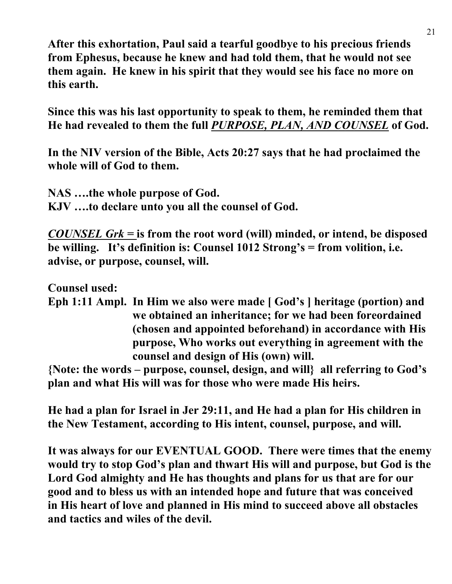**After this exhortation, Paul said a tearful goodbye to his precious friends from Ephesus, because he knew and had told them, that he would not see them again. He knew in his spirit that they would see his face no more on this earth.**

**Since this was his last opportunity to speak to them, he reminded them that He had revealed to them the full** *PURPOSE, PLAN, AND COUNSEL* **of God.**

**In the NIV version of the Bible, Acts 20:27 says that he had proclaimed the whole will of God to them.**

**NAS ….the whole purpose of God. KJV ….to declare unto you all the counsel of God.**

*COUNSEL Grk =* **is from the root word (will) minded, or intend, be disposed be willing. It's definition is: Counsel 1012 Strong's = from volition, i.e. advise, or purpose, counsel, will.**

**Counsel used:**

**Eph 1:11 Ampl. In Him we also were made [ God's ] heritage (portion) and we obtained an inheritance; for we had been foreordained (chosen and appointed beforehand) in accordance with His purpose, Who works out everything in agreement with the counsel and design of His (own) will.**

**{Note: the words – purpose, counsel, design, and will} all referring to God's plan and what His will was for those who were made His heirs.**

**He had a plan for Israel in Jer 29:11, and He had a plan for His children in the New Testament, according to His intent, counsel, purpose, and will.**

**It was always for our EVENTUAL GOOD. There were times that the enemy would try to stop God's plan and thwart His will and purpose, but God is the Lord God almighty and He has thoughts and plans for us that are for our good and to bless us with an intended hope and future that was conceived in His heart of love and planned in His mind to succeed above all obstacles and tactics and wiles of the devil.**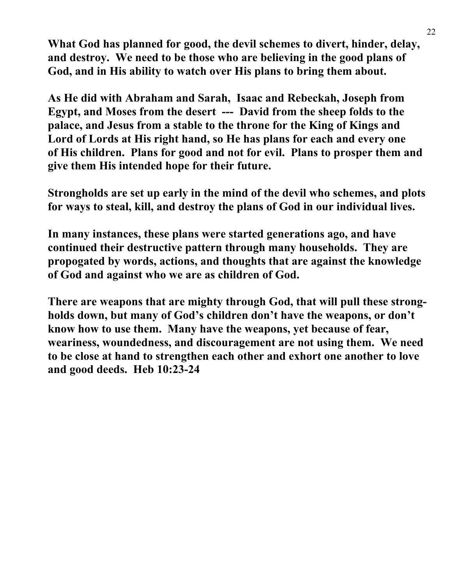**What God has planned for good, the devil schemes to divert, hinder, delay, and destroy. We need to be those who are believing in the good plans of God, and in His ability to watch over His plans to bring them about.**

**As He did with Abraham and Sarah, Isaac and Rebeckah, Joseph from Egypt, and Moses from the desert --- David from the sheep folds to the palace, and Jesus from a stable to the throne for the King of Kings and Lord of Lords at His right hand, so He has plans for each and every one of His children. Plans for good and not for evil. Plans to prosper them and give them His intended hope for their future.**

**Strongholds are set up early in the mind of the devil who schemes, and plots for ways to steal, kill, and destroy the plans of God in our individual lives.**

**In many instances, these plans were started generations ago, and have continued their destructive pattern through many households. They are propogated by words, actions, and thoughts that are against the knowledge of God and against who we are as children of God.**

**There are weapons that are mighty through God, that will pull these strongholds down, but many of God's children don't have the weapons, or don't know how to use them. Many have the weapons, yet because of fear, weariness, woundedness, and discouragement are not using them. We need to be close at hand to strengthen each other and exhort one another to love and good deeds. Heb 10:23-24**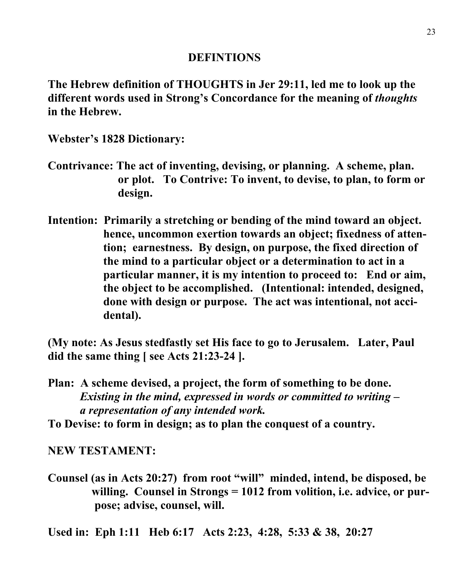#### **DEFINTIONS**

**The Hebrew definition of THOUGHTS in Jer 29:11, led me to look up the different words used in Strong's Concordance for the meaning of** *thoughts* **in the Hebrew.**

**Webster's 1828 Dictionary:**

- **Contrivance: The act of inventing, devising, or planning. A scheme, plan. or plot. To Contrive: To invent, to devise, to plan, to form or design.**
- **Intention: Primarily a stretching or bending of the mind toward an object. hence, uncommon exertion towards an object; fixedness of atten tion; earnestness. By design, on purpose, the fixed direction of the mind to a particular object or a determination to act in a particular manner, it is my intention to proceed to: End or aim, the object to be accomplished. (Intentional: intended, designed, done with design or purpose. The act was intentional, not acci dental).**

**(My note: As Jesus stedfastly set His face to go to Jerusalem. Later, Paul did the same thing [ see Acts 21:23-24 ].**

**Plan: A scheme devised, a project, the form of something to be done.** *Existing in the mind, expressed in words or committed to writing – a representation of any intended work.*

**To Devise: to form in design; as to plan the conquest of a country.**

**NEW TESTAMENT:**

**Counsel (as in Acts 20:27) from root "will" minded, intend, be disposed, be willing. Counsel in Strongs = 1012 from volition, i.e. advice, or pur pose; advise, counsel, will.**

**Used in: Eph 1:11 Heb 6:17 Acts 2:23, 4:28, 5:33 & 38, 20:27**